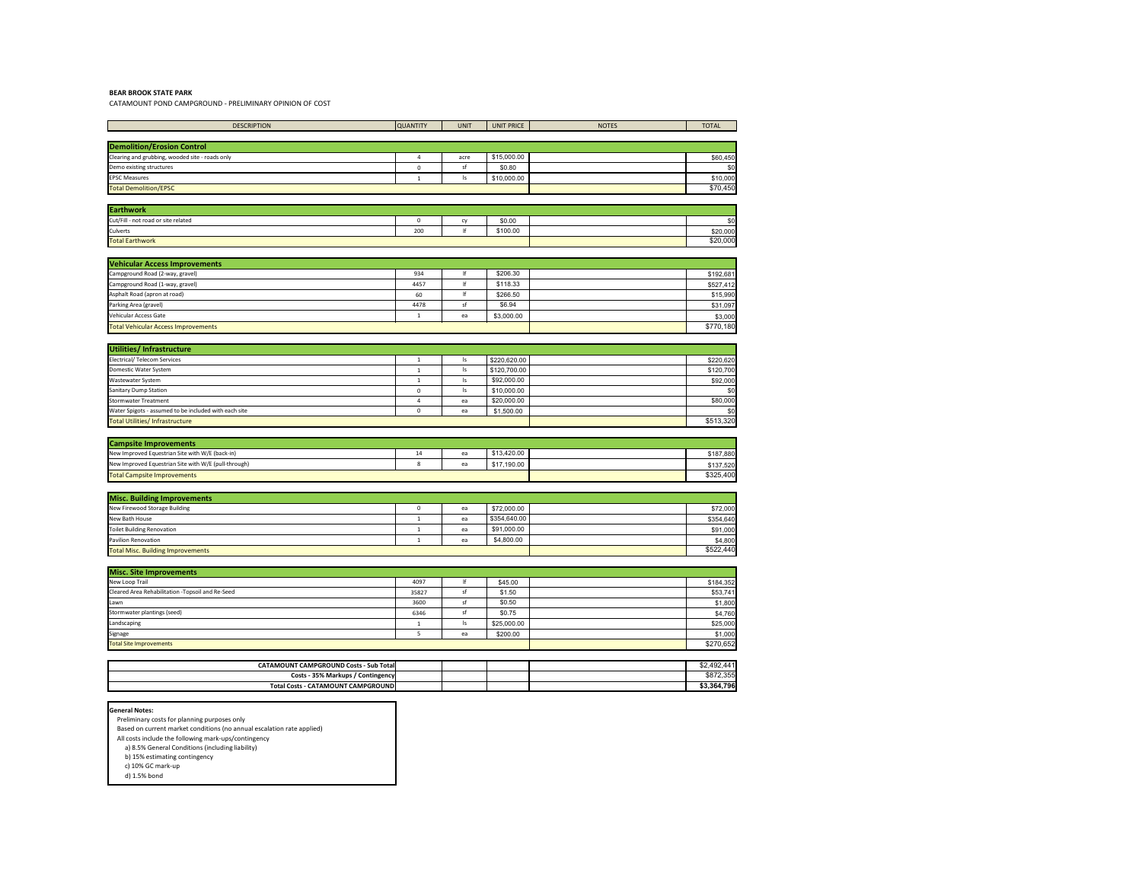## **BEAR BROOK STATE PARK**

CATAMOUNT POND CAMPGROUND - PRELIMINARY OPINION OF COST

| <b>DESCRIPTION</b>                                                     | <b>QUANTITY</b>     | <b>UNIT</b>      | <b>UNIT PRICE</b> | <b>NOTES</b> | <b>TOTAL</b> |
|------------------------------------------------------------------------|---------------------|------------------|-------------------|--------------|--------------|
|                                                                        |                     |                  |                   |              |              |
| <b>Demolition/Erosion Control</b>                                      |                     |                  |                   |              |              |
| Clearing and grubbing, wooded site - roads only                        | $\overline{4}$      | acre             | \$15,000.00       |              | \$60,450     |
| Demo existing structures                                               | 0                   | sf               | \$0.80            |              | \$0          |
| <b>EPSC Measures</b>                                                   | $\mathbf{1}$        | Is               | \$10,000.00       |              | \$10,000     |
| <b>Total Demolition/EPSC</b>                                           |                     |                  |                   |              | \$70,450     |
|                                                                        |                     |                  |                   |              |              |
| <b>Earthwork</b>                                                       |                     |                  |                   |              |              |
| Cut/Fill - not road or site related                                    | $\mathsf{O}$        | cy               | \$0.00            |              | \$0          |
| Culverts                                                               | 200                 | $  \mathsf{f}  $ | \$100.00          |              | \$20,000     |
| <b>Total Earthwork</b>                                                 |                     |                  |                   |              | \$20,000     |
|                                                                        |                     |                  |                   |              |              |
| <b>Vehicular Access Improvements</b>                                   |                     |                  |                   |              |              |
| Campground Road (2-way, gravel)                                        | 934                 | $  \mathsf{f}  $ | \$206.30          |              | \$192,681    |
| Campground Road (1-way, gravel)                                        | 4457                | $  \mathsf{f}  $ | \$118.33          |              | \$527,412    |
| Asphalt Road (apron at road)                                           | 60                  | $  \mathsf{f}  $ | \$266.50          |              | \$15,990     |
| Parking Area (gravel)                                                  | 4478                | sf               | \$6.94            |              | \$31,097     |
| Vehicular Access Gate                                                  | $\mathbf{1}$        | ea               | \$3,000.00        |              | \$3,000      |
| <b>Total Vehicular Access Improvements</b>                             |                     |                  |                   |              | \$770,180    |
|                                                                        |                     |                  |                   |              |              |
| Utilities/ Infrastructure                                              |                     |                  |                   |              |              |
| <b>Electrical/ Telecom Services</b>                                    | $\mathbf{1}$        | $\mathsf{I}$ s   | \$220,620.00      |              | \$220,620    |
| Domestic Water System                                                  | $\mathbf{1}$        | ls               | \$120,700.00      |              | \$120,700    |
| Wastewater System                                                      | 1                   | ls               | \$92,000.00       |              | \$92,000     |
| Sanitary Dump Station                                                  | 0                   | Is               | \$10,000.00       |              | \$0          |
| <b>Stormwater Treatment</b>                                            | 4                   | ea               | \$20,000.00       |              | \$80,000     |
| Water Spigots - assumed to be included with each site                  | 0                   | ea               | \$1,500.00        |              | \$0          |
| Total Utilities/ Infrastructure                                        |                     |                  |                   |              | \$513,320    |
|                                                                        |                     |                  |                   |              |              |
| <b>Campsite Improvements</b>                                           |                     |                  |                   |              |              |
| New Improved Equestrian Site with W/E (back-in)                        | 14                  | ea               | \$13,420.00       |              | \$187,880    |
| New Improved Equestrian Site with W/E (pull-through)                   | 8                   | ea               | \$17,190.00       |              | \$137,520    |
| <b>Total Campsite Improvements</b>                                     |                     |                  |                   |              | \$325,400    |
|                                                                        |                     |                  |                   |              |              |
| <b>Misc. Building Improvements</b>                                     |                     |                  |                   |              |              |
| New Firewood Storage Building                                          | $\mathsf{O}\xspace$ | ea               | \$72,000.00       |              | \$72,000     |
| New Bath House                                                         | $\mathbf{1}$        | ea               | \$354,640.00      |              | \$354,640    |
| Toilet Building Renovation                                             | $\mathbf{1}$        | ea               | \$91,000.00       |              | \$91,000     |
| Pavilion Renovation                                                    | $\mathbf{1}$        | ea               | \$4,800.00        |              | \$4,800      |
| <b>Total Misc. Building Improvements</b>                               |                     |                  |                   |              | \$522,440    |
|                                                                        |                     |                  |                   |              |              |
| <b>Misc. Site Improvements</b>                                         |                     |                  |                   |              |              |
| New Loop Trail                                                         | 4097                | lf               | \$45.00           |              | \$184,352    |
| Cleared Area Rehabilitation - Topsoil and Re-Seed                      | 35827               | sf               | \$1.50            |              | \$53,741     |
| Lawn                                                                   | 3600                | sf               | \$0.50            |              | \$1,800      |
| Stormwater plantings (seed)                                            | 6346                | sf               | \$0.75            |              | \$4,760      |
| Landscaping                                                            | 1                   | Is               | \$25,000.00       |              | \$25,000     |
| Signage                                                                | 5                   | ea               | \$200.00          |              | \$1,000      |
| Total Site Improvements                                                |                     |                  |                   |              | \$270,652    |
|                                                                        |                     |                  |                   |              |              |
| <b>CATAMOUNT CAMPGROUND Costs - Sub Total</b>                          |                     |                  |                   |              | \$2,492,441  |
| <b>Costs - 35% Markups / Contingency</b>                               |                     |                  |                   |              | \$872,355    |
| <b>Total Costs - CATAMOUNT CAMPGROUND</b>                              |                     |                  |                   |              | \$3,364,796  |
|                                                                        |                     |                  |                   |              |              |
| <b>General Notes:</b>                                                  |                     |                  |                   |              |              |
| Preliminary costs for planning purposes only                           |                     |                  |                   |              |              |
| Based on current market conditions (no annual escalation rate applied) |                     |                  |                   |              |              |
|                                                                        |                     |                  |                   |              |              |

All costs include the following mark-ups/contingency

 a) 8.5% General Conditions (including liability) b) 15% estimating contingency

 c) 10% GC mark-up d) 1.5% bond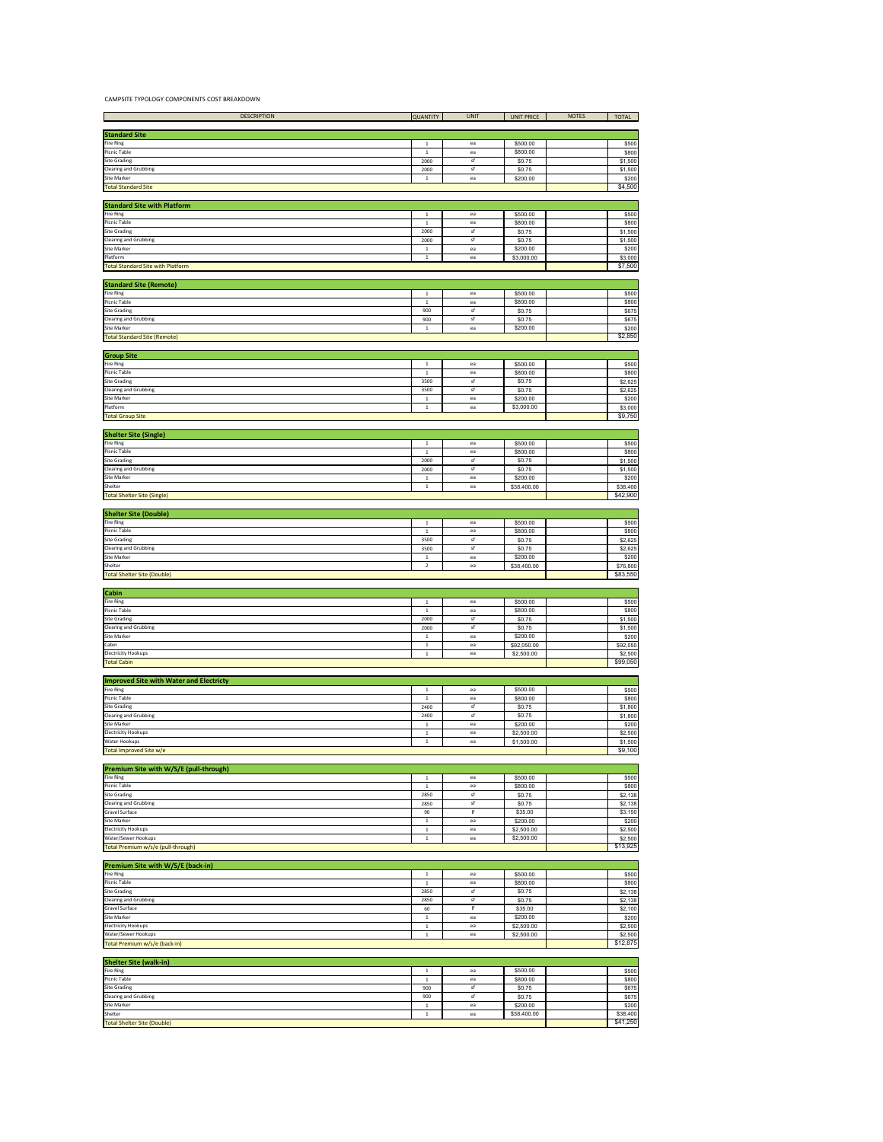## CAMPSITE TYPOLOGY COMPONENTS COST BREAKDOWN

| <b>DESCRIPTION</b>           | <b>QUANTITY</b> | <b>UNIT</b> | UNIT PRICE | <b>NOTES</b> | <b>TOTAL</b> |
|------------------------------|-----------------|-------------|------------|--------------|--------------|
|                              |                 |             |            |              |              |
| <b>Standard Site</b>         |                 |             |            |              |              |
| <b>Fire Ring</b>             |                 | ea          | \$500.00   |              | \$500        |
| Picnic Table                 |                 | ea          | \$800.00   |              | \$800        |
| <b>Site Grading</b>          | 2000            | st          | \$0.75     |              | \$1,500      |
| <b>Clearing and Grubbing</b> | 2000            |             | \$0.75     |              | \$1,500      |
| <b>Site Marker</b>           |                 | ea          | \$200.00   |              | \$200        |
| <b>Total Standard Site</b>   |                 |             |            |              | \$4,500      |
|                              |                 |             |            |              |              |

| <b>Standard Site with Platform</b>       |      |    |            |  |         |
|------------------------------------------|------|----|------------|--|---------|
| <b>Fire Ring</b>                         |      | ea | \$500.00   |  | \$500   |
| Picnic Table                             |      | ea | \$800.00   |  | \$800   |
| <b>Site Grading</b>                      | 2000 |    | \$0.75     |  | \$1,500 |
| <b>Clearing and Grubbing</b>             | 2000 |    | \$0.75     |  | \$1,500 |
| <b>Site Marker</b>                       |      | ea | \$200.00   |  | \$200   |
| Platform                                 |      | ea | \$3,000.00 |  | \$3,000 |
| <b>Total Standard Site with Platform</b> |      |    |            |  | \$7,500 |

| <b>Standard Site (Remote)</b>       |     |    |          |  |         |
|-------------------------------------|-----|----|----------|--|---------|
| <b>Fire Ring</b>                    |     | ea | \$500.00 |  | \$500   |
| Picnic Table                        |     | ea | \$800.00 |  | \$800   |
| <b>Site Grading</b>                 | 900 |    | \$0.75   |  | \$675   |
| <b>Clearing and Grubbing</b>        | 900 |    | \$0.75   |  | \$675   |
| <b>Site Marker</b>                  |     | ea | \$200.00 |  | \$200   |
| <b>Total Standard Site (Remote)</b> |     |    |          |  | \$2,850 |

| <b>Group Site</b>            |      |    |            |         |
|------------------------------|------|----|------------|---------|
| <b>Fire Ring</b>             |      | ea | \$500.00   | \$500   |
| Picnic Table                 |      | ea | \$800.00   | \$800   |
| <b>Site Grading</b>          | 3500 |    | \$0.75     | \$2,625 |
| <b>Clearing and Grubbing</b> | 3500 |    | \$0.75     | \$2,625 |
| <b>Site Marker</b>           |      | ea | \$200.00   | \$200   |
| Platform                     |      | ea | \$3,000.00 | \$3,000 |
| <b>Total Group Site</b>      |      |    |            | \$9,750 |

| <b>Shelter Site (Single)</b>       |          |    |             |          |
|------------------------------------|----------|----|-------------|----------|
| <b>Fire Ring</b>                   |          | ea | \$500.00    | \$500    |
| Picnic Table                       |          | ea | \$800.00    | \$800    |
| <b>Site Grading</b>                | 2000     |    | \$0.75      | \$1,500  |
| <b>Clearing and Grubbing</b>       | 2000     |    | \$0.75      | \$1,500  |
| <b>Site Marker</b>                 |          | ea | \$200.00    | \$200    |
| Shelter                            |          | ea | \$38,400.00 | \$38,400 |
| <b>Total Shelter Site (Single)</b> | \$42,900 |    |             |          |

| <b>Shelter Site (Double)</b> |      |    |             |  |          |
|------------------------------|------|----|-------------|--|----------|
| <b>Fire Ring</b>             |      | ea | \$500.00    |  | \$500    |
| Picnic Table                 |      | ea | \$800.00    |  | \$800    |
| <b>Site Grading</b>          | 3500 |    | \$0.75      |  | \$2,625  |
| <b>Clearing and Grubbing</b> | 3500 | st | \$0.75      |  | \$2,625  |
| Site Marker                  |      | ea | \$200.00    |  | \$200    |
| Shelter                      |      | ea | \$38,400.00 |  | \$76,800 |
| Total Shelter Site (Double)  |      |    |             |  | \$83,550 |

| <b>Cabin</b>                 |          |    |             |          |         |
|------------------------------|----------|----|-------------|----------|---------|
| <b>Fire Ring</b>             |          | ea | \$500.00    |          | \$500   |
| Picnic Table                 |          | ea | \$800.00    |          | \$800   |
| <b>Site Grading</b>          | 2000     |    | \$0.75      |          | \$1,500 |
| <b>Clearing and Grubbing</b> | 2000     | S. | \$0.75      |          | \$1,500 |
| <b>Site Marker</b>           |          | ea | \$200.00    |          | \$200   |
| Cabin                        |          | ea | \$92,050.00 | \$92,050 |         |
| <b>Electricity Hookups</b>   |          | ea | \$2,500.00  |          | \$2,500 |
| <b>Total Cabin</b>           | \$99,050 |    |             |          |         |

| <b>Improved Site with Water and Electricty</b> |      |    |            |  |         |
|------------------------------------------------|------|----|------------|--|---------|
| <b>Fire Ring</b>                               |      | ea | \$500.00   |  | \$500   |
| <b>Picnic Table</b>                            |      | ea | \$800.00   |  | \$800   |
| <b>Site Grading</b>                            | 2400 |    | \$0.75     |  | \$1,800 |
| <b>Clearing and Grubbing</b>                   | 2400 |    | \$0.75     |  | \$1,800 |
| <b>Site Marker</b>                             |      | ea | \$200.00   |  | \$200   |
| <b>Electricity Hookups</b>                     |      | ea | \$2,500.00 |  | \$2,500 |
| Water Hookups                                  |      | ea | \$1,500.00 |  | \$1,500 |
| Total Improved Site w/e                        |      |    |            |  | \$9,100 |

| <b>Premium Site with W/S/E (pull-through)</b> |          |    |            |         |
|-----------------------------------------------|----------|----|------------|---------|
| Fire Ring                                     |          | ea | \$500.00   | \$500   |
| Picnic Table                                  |          | ea | \$800.00   | \$800   |
| <b>Site Grading</b>                           | 2850     |    | \$0.75     | \$2,138 |
| <b>Clearing and Grubbing</b>                  | 2850     |    | \$0.75     | \$2,138 |
| <b>Gravel Surface</b>                         | 90       |    | \$35.00    | \$3,150 |
| <b>Site Marker</b>                            |          | ea | \$200.00   | \$200   |
| <b>Electricity Hookups</b>                    |          | ea | \$2,500.00 | \$2,500 |
| <b>Water/Sewer Hookups</b>                    |          | ea | \$2,500.00 | \$2,500 |
| Total Premium w/s/e (pull-through)            | \$13,925 |    |            |         |

| <b>Premium Site with W/S/E (back-in)</b> |          |     |            |         |
|------------------------------------------|----------|-----|------------|---------|
| <b>Fire Ring</b>                         |          | ea  | \$500.00   | \$500   |
| <b>Picnic Table</b>                      |          | ea  | \$800.00   | \$800   |
| <b>Site Grading</b>                      | 2850     | .st | \$0.75     | \$2,138 |
| <b>Clearing and Grubbing</b>             | 2850     | -st | \$0.75     | \$2,138 |
| <b>Gravel Surface</b>                    | 60       |     | \$35.00    | \$2,100 |
| Site Marker                              |          | ea  | \$200.00   | \$200   |
| <b>Electricity Hookups</b>               |          | ea  | \$2,500.00 | \$2,500 |
| Water/Sewer Hookups                      |          | ea  | \$2,500.00 | \$2,500 |
| Total Premium w/s/e (back-in)            | \$12,875 |     |            |         |

| <b>Shelter Site (walk-in)</b>      |          |    |             |          |
|------------------------------------|----------|----|-------------|----------|
| <b>Fire Ring</b>                   |          | ea | \$500.00    | \$500    |
| Picnic Table                       |          | ea | \$800.00    | \$800    |
| <b>Site Grading</b>                | 900      |    | \$0.75      | \$675    |
| <b>Clearing and Grubbing</b>       | 900      |    | \$0.75      | \$675    |
| <b>Site Marker</b>                 |          | ea | \$200.00    | \$200    |
| Shelter                            |          | ea | \$38,400.00 | \$38,400 |
| <b>Total Shelter Site (Double)</b> | \$41,250 |    |             |          |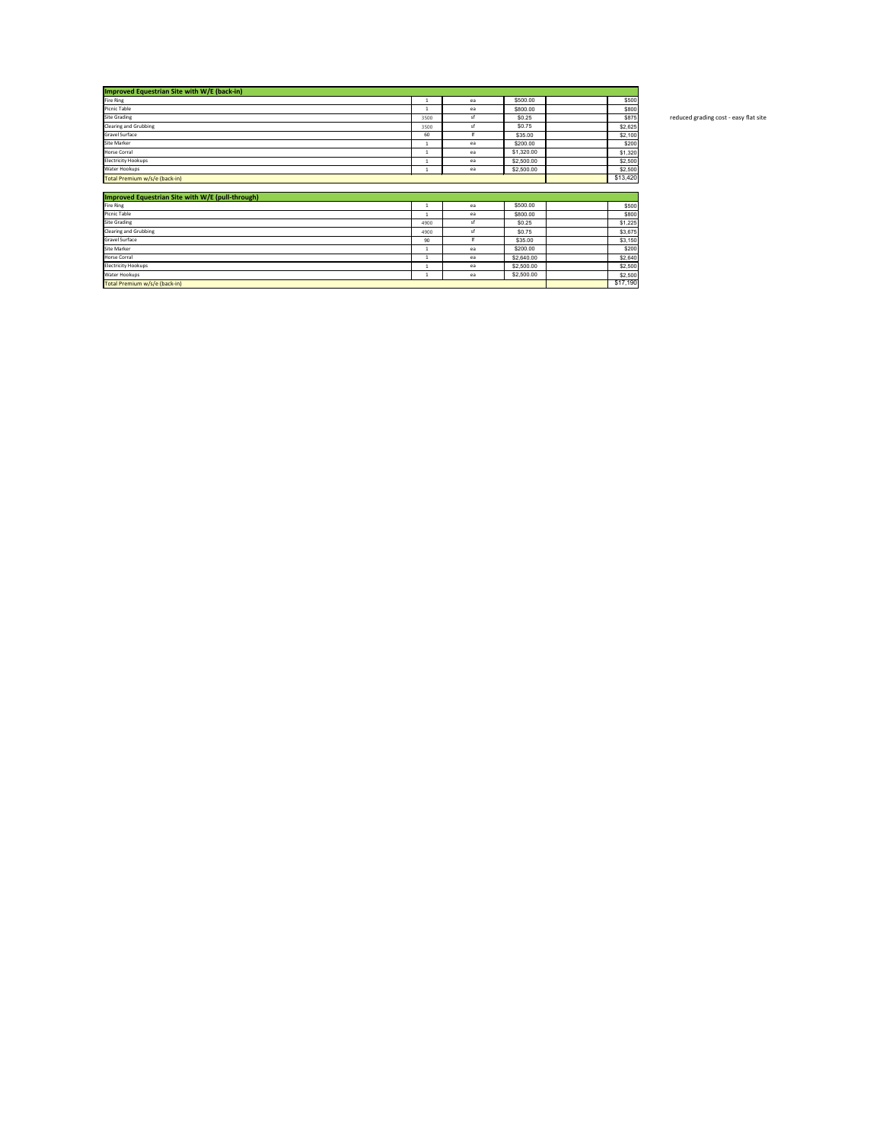| Improved Equestrian Site with W/E (back-in) |      |          |            |  |         |  |  |  |  |
|---------------------------------------------|------|----------|------------|--|---------|--|--|--|--|
| <b>Fire Ring</b>                            |      | ea       | \$500.00   |  | \$500   |  |  |  |  |
| Picnic Table                                |      | ea       | \$800.00   |  | \$800   |  |  |  |  |
| <b>Site Grading</b>                         | 3500 | sf       | \$0.25     |  | \$875   |  |  |  |  |
| <b>Clearing and Grubbing</b>                | 3500 | st       | \$0.75     |  | \$2,625 |  |  |  |  |
| <b>Gravel Surface</b>                       | 60   |          | \$35.00    |  | \$2,100 |  |  |  |  |
| <b>Site Marker</b>                          |      | ea       | \$200.00   |  | \$200   |  |  |  |  |
| <b>Horse Corral</b>                         |      | ea       | \$1,320.00 |  | \$1,320 |  |  |  |  |
| <b>Electricity Hookups</b>                  |      | ea       | \$2,500.00 |  | \$2,500 |  |  |  |  |
| Water Hookups                               |      | ea       | \$2,500.00 |  | \$2,500 |  |  |  |  |
| Total Premium w/s/e (back-in)               |      | \$13,420 |            |  |         |  |  |  |  |

reduced grading cost - easy flat site

| Improved Equestrian Site with W/E (pull-through) |          |    |            |         |
|--------------------------------------------------|----------|----|------------|---------|
| Fire Ring                                        |          | ea | \$500.00   | \$500   |
| Picnic Table                                     |          | ea | \$800.00   | \$800   |
| <b>Site Grading</b>                              | 4900     |    | \$0.25     | \$1,225 |
| <b>Clearing and Grubbing</b>                     | 4900     |    | \$0.75     | \$3,675 |
| <b>Gravel Surface</b>                            | 90       |    | \$35.00    | \$3,150 |
| <b>Site Marker</b>                               |          | ea | \$200.00   | \$200   |
| <b>Horse Corral</b>                              |          | ea | \$2,640.00 | \$2,640 |
| Electricity Hookups                              |          | ea | \$2,500.00 | \$2,500 |
| Water Hookups                                    |          | ea | \$2,500.00 | \$2,500 |
| Total Premium w/s/e (back-in)                    | \$17,190 |    |            |         |